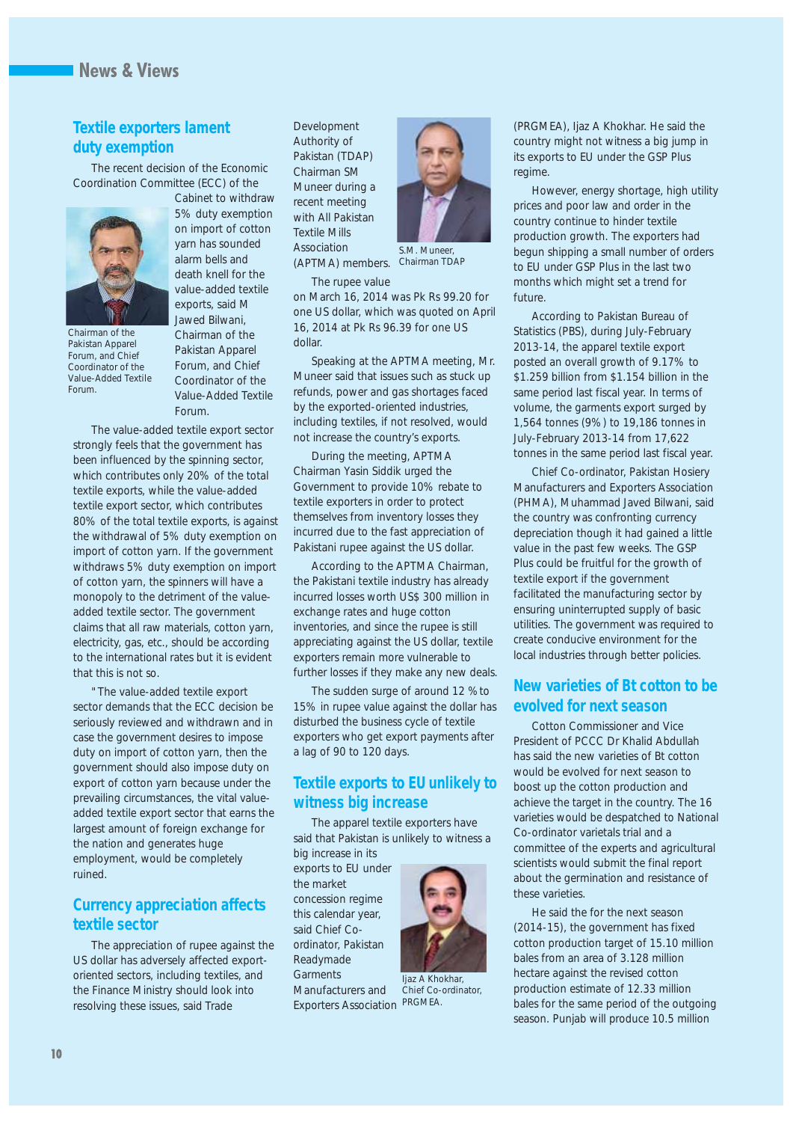#### **Textile exporters lament duty exemption**

The recent decision of the Economic Coordination Committee (ECC) of the



*Pakistan Apparel Forum, and Chief Coordinator of the Value-Added Textile*

*Forum.*

Cabinet to withdraw 5% duty exemption on import of cotton yarn has sounded alarm bells and death knell for the value-added textile exports, said M Jawed Bilwani, Chairman of the Pakistan Apparel Forum, and Chief Coordinator of the Value-Added Textile Forum.

The value-added textile export sector strongly feels that the government has been influenced by the spinning sector, which contributes only 20% of the total textile exports, while the value-added textile export sector, which contributes 80% of the total textile exports, is against the withdrawal of 5% duty exemption on import of cotton yarn. If the government withdraws 5% duty exemption on import of cotton yarn, the spinners will have a monopoly to the detriment of the valueadded textile sector. The government claims that all raw materials, cotton yarn, electricity, gas, etc., should be according to the international rates but it is evident that this is not so.

"The value-added textile export sector demands that the ECC decision be seriously reviewed and withdrawn and in case the government desires to impose duty on import of cotton yarn, then the government should also impose duty on export of cotton yarn because under the prevailing circumstances, the vital valueadded textile export sector that earns the largest amount of foreign exchange for the nation and generates huge employment, would be completely ruined.

#### **Currency appreciation affects textile sector**

The appreciation of rupee against the US dollar has adversely affected exportoriented sectors, including textiles, and the Finance Ministry should look into resolving these issues, said Trade

Development Authority of Pakistan (TDAP) Chairman SM Muneer during a recent meeting with All Pakistan Textile Mills Association

The rupee value



(APTMA) members. *Chairman TDAP*

on March 16, 2014 was Pk Rs 99.20 for one US dollar, which was quoted on April 16, 2014 at Pk Rs 96.39 for one US dollar.

Speaking at the APTMA meeting, Mr. Muneer said that issues such as stuck up refunds, power and gas shortages faced by the exported-oriented industries, including textiles, if not resolved, would not increase the country's exports.

During the meeting, APTMA Chairman Yasin Siddik urged the Government to provide 10% rebate to textile exporters in order to protect themselves from inventory losses they incurred due to the fast appreciation of Pakistani rupee against the US dollar.

According to the APTMA Chairman, the Pakistani textile industry has already incurred losses worth US\$ 300 million in exchange rates and huge cotton inventories, and since the rupee is still appreciating against the US dollar, textile exporters remain more vulnerable to further losses if they make any new deals.

The sudden surge of around 12 %to 15% in rupee value against the dollar has disturbed the business cycle of textile exporters who get export payments after a lag of 90 to 120 days.

#### **Textile exports to EU unlikely to witness big increase**

The apparel textile exporters have said that Pakistan is unlikely to witness a big increase in its

exports to EU under the market concession regime this calendar year, said Chief Coordinator, Pakistan Readymade **Garments** Manufacturers and Exporters Association *PRGMEA.*



*Ijaz A Khokhar, Chief Co-ordinator,*

(PRGMEA), Ijaz A Khokhar. He said the country might not witness a big jump in its exports to EU under the GSP Plus regime.

However, energy shortage, high utility prices and poor law and order in the country continue to hinder textile production growth. The exporters had begun shipping a small number of orders to EU under GSP Plus in the last two months which might set a trend for future.

According to Pakistan Bureau of Statistics (PBS), during July-February 2013-14, the apparel textile export posted an overall growth of 9.17% to \$1.259 billion from \$1.154 billion in the same period last fiscal year. In terms of volume, the garments export surged by 1,564 tonnes (9%) to 19,186 tonnes in July-February 2013-14 from 17,622 tonnes in the same period last fiscal year.

Chief Co-ordinator, Pakistan Hosiery Manufacturers and Exporters Association (PHMA), Muhammad Javed Bilwani, said the country was confronting currency depreciation though it had gained a little value in the past few weeks. The GSP Plus could be fruitful for the growth of textile export if the government facilitated the manufacturing sector by ensuring uninterrupted supply of basic utilities. The government was required to create conducive environment for the local industries through better policies.

#### **New varieties of Bt cotton to be evolved for next season**

Cotton Commissioner and Vice President of PCCC Dr Khalid Abdullah has said the new varieties of Bt cotton would be evolved for next season to boost up the cotton production and achieve the target in the country. The 16 varieties would be despatched to National Co-ordinator varietals trial and a committee of the experts and agricultural scientists would submit the final report about the germination and resistance of these varieties.

He said the for the next season (2014-15), the government has fixed cotton production target of 15.10 million bales from an area of 3.128 million hectare against the revised cotton production estimate of 12.33 million bales for the same period of the outgoing season. Punjab will produce 10.5 million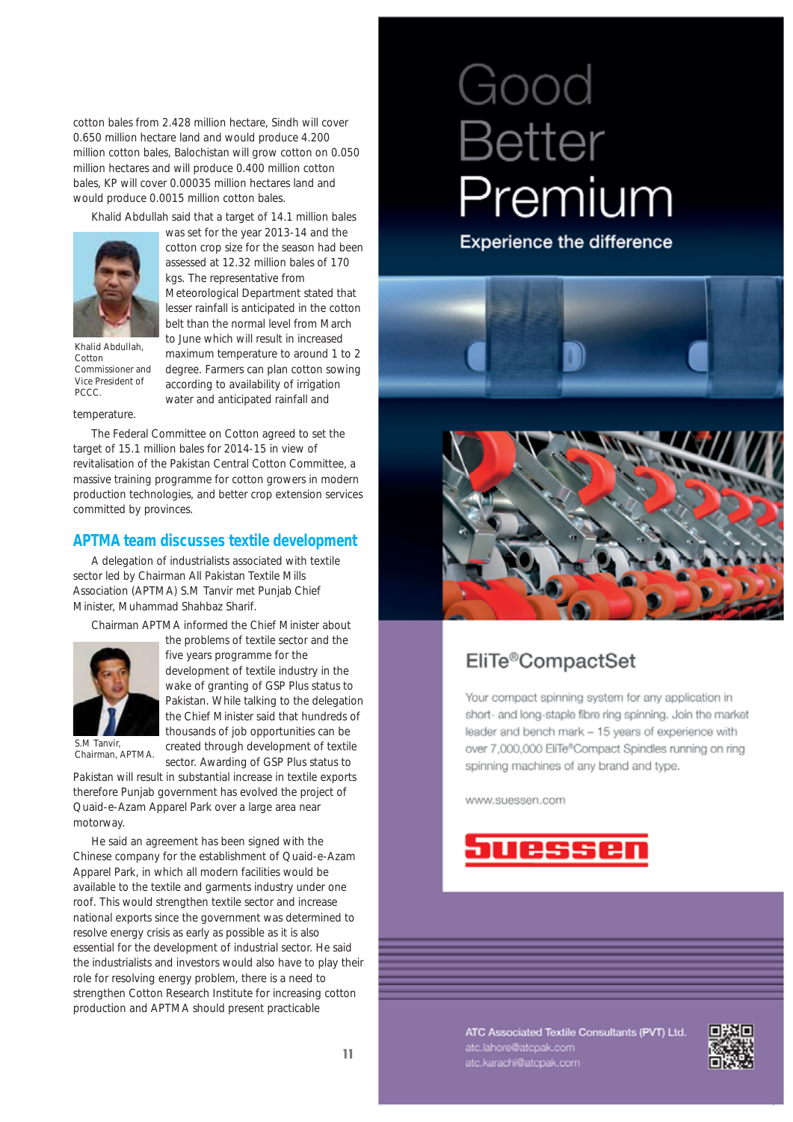cotton bales from 2.428 million hectare, Sindh will cover 0.650 million hectare land and would produce 4.200 million cotton bales, Balochistan will grow cotton on 0.050 million hectares and will produce 0.400 million cotton bales, KP will cover 0.00035 million hectares land and would produce 0.0015 million cotton bales.

Khalid Abdullah said that a target of 14.1 million bales



*Khalid Abdullah, Cotton Commissioner and Vice President of PCCC.*

was set for the year 2013-14 and the cotton crop size for the season had been assessed at 12.32 million bales of 170 kgs. The representative from Meteorological Department stated that lesser rainfall is anticipated in the cotton belt than the normal level from March to June which will result in increased maximum temperature to around 1 to 2 degree. Farmers can plan cotton sowing according to availability of irrigation water and anticipated rainfall and

#### temperature.

The Federal Committee on Cotton agreed to set the target of 15.1 million bales for 2014-15 in view of revitalisation of the Pakistan Central Cotton Committee, a massive training programme for cotton growers in modern production technologies, and better crop extension services committed by provinces.

#### **APTMA team discusses textile development**

A delegation of industrialists associated with textile sector led by Chairman All Pakistan Textile Mills Association (APTMA) S.M Tanvir met Punjab Chief Minister, Muhammad Shahbaz Sharif.

Chairman APTMA informed the Chief Minister about



the problems of textile sector and the five years programme for the development of textile industry in the wake of granting of GSP Plus status to Pakistan. While talking to the delegation the Chief Minister said that hundreds of thousands of job opportunities can be created through development of textile

sector. Awarding of GSP Plus status to

*S.M Tanvir, Chairman, APTMA.*

Pakistan will result in substantial increase in textile exports therefore Punjab government has evolved the project of Quaid-e-Azam Apparel Park over a large area near motorway.

He said an agreement has been signed with the Chinese company for the establishment of Quaid-e-Azam Apparel Park, in which all modern facilities would be available to the textile and garments industry under one roof. This would strengthen textile sector and increase national exports since the government was determined to resolve energy crisis as early as possible as it is also essential for the development of industrial sector. He said the industrialists and investors would also have to play their role for resolving energy problem, there is a need to strengthen Cotton Research Institute for increasing cotton production and APTMA should present practicable

# Good **Better** Premium

Experience the difference



## EliTe®CompactSet

Your compact spinning system for any application in short- and long-staple fibre ring spinning. Join the market leader and bench mark - 15 years of experience with over 7,000,000 EliTe®Compact Spindles running on ring spinning machines of any brand and type.

www.suessen.com



ATC Associated Textile Consultants (PVT) Ltd. atc.lahore@atcpak.com<br>atc.karachi@atcpak.com

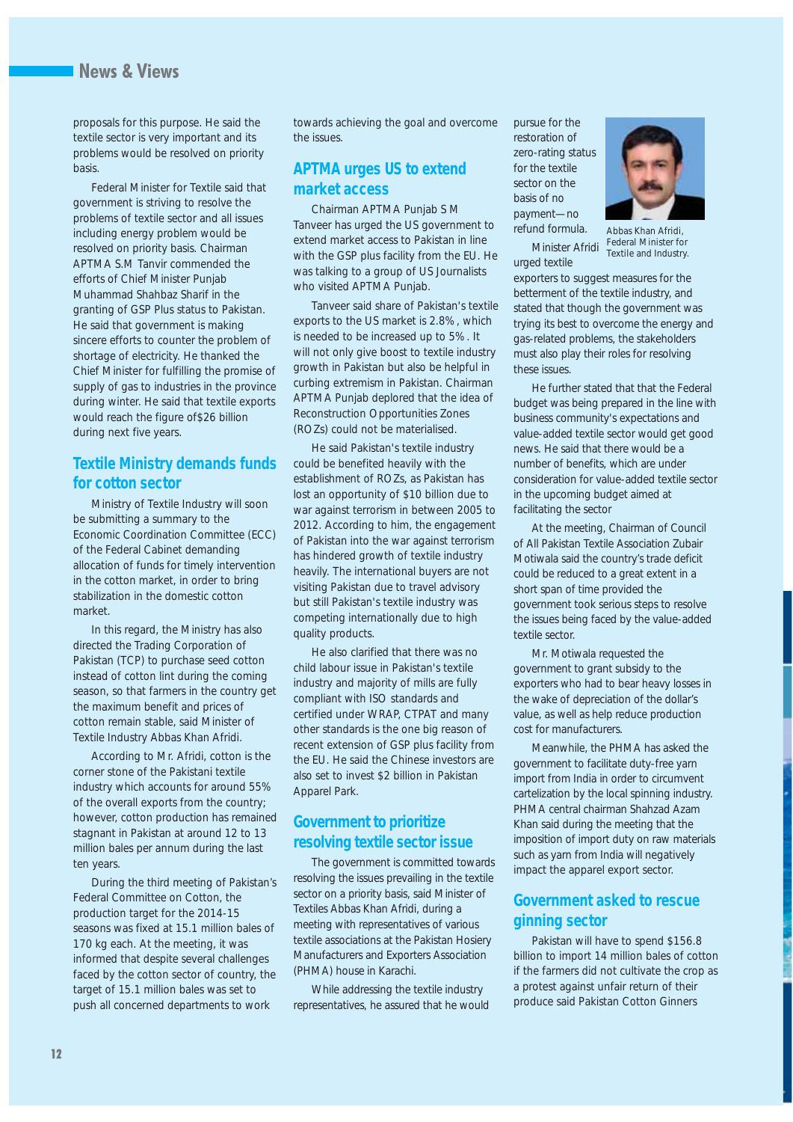## **News & Views**

proposals for this purpose. He said the textile sector is very important and its problems would be resolved on priority basis.

Federal Minister for Textile said that government is striving to resolve the problems of textile sector and all issues including energy problem would be resolved on priority basis. Chairman APTMA S.M Tanvir commended the efforts of Chief Minister Punjab Muhammad Shahbaz Sharif in the granting of GSP Plus status to Pakistan. He said that government is making sincere efforts to counter the problem of shortage of electricity. He thanked the Chief Minister for fulfilling the promise of supply of gas to industries in the province during winter. He said that textile exports would reach the figure of\$26 billion during next five years.

#### **Textile Ministry demands funds for cotton sector**

Ministry of Textile Industry will soon be submitting a summary to the Economic Coordination Committee (ECC) of the Federal Cabinet demanding allocation of funds for timely intervention in the cotton market, in order to bring stabilization in the domestic cotton market.

In this regard, the Ministry has also directed the Trading Corporation of Pakistan (TCP) to purchase seed cotton instead of cotton lint during the coming season, so that farmers in the country get the maximum benefit and prices of cotton remain stable, said Minister of Textile Industry Abbas Khan Afridi.

According to Mr. Afridi, cotton is the corner stone of the Pakistani textile industry which accounts for around 55% of the overall exports from the country; however, cotton production has remained stagnant in Pakistan at around 12 to 13 million bales per annum during the last ten years.

During the third meeting of Pakistan's Federal Committee on Cotton, the production target for the 2014-15 seasons was fixed at 15.1 million bales of 170 kg each. At the meeting, it was informed that despite several challenges faced by the cotton sector of country, the target of 15.1 million bales was set to push all concerned departments to work

towards achieving the goal and overcome the issues.

#### **APTMA urges US to extend market access**

Chairman APTMA Punjab S M Tanveer has urged the US government to extend market access to Pakistan in line with the GSP plus facility from the EU. He was talking to a group of US Journalists who visited APTMA Punjab.

Tanveer said share of Pakistan's textile exports to the US market is 2.8%, which is needed to be increased up to 5%. It will not only give boost to textile industry growth in Pakistan but also be helpful in curbing extremism in Pakistan. Chairman APTMA Punjab deplored that the idea of Reconstruction Opportunities Zones (ROZs) could not be materialised.

He said Pakistan's textile industry could be benefited heavily with the establishment of ROZs, as Pakistan has lost an opportunity of \$10 billion due to war against terrorism in between 2005 to 2012. According to him, the engagement of Pakistan into the war against terrorism has hindered growth of textile industry heavily. The international buyers are not visiting Pakistan due to travel advisory but still Pakistan's textile industry was competing internationally due to high quality products.

He also clarified that there was no child labour issue in Pakistan's textile industry and majority of mills are fully compliant with ISO standards and certified under WRAP, CTPAT and many other standards is the one big reason of recent extension of GSP plus facility from the EU. He said the Chinese investors are also set to invest \$2 billion in Pakistan Apparel Park.

#### **Government to prioritize resolving textile sector issue**

The government is committed towards resolving the issues prevailing in the textile sector on a priority basis, said Minister of Textiles Abbas Khan Afridi, during a meeting with representatives of various textile associations at the Pakistan Hosiery Manufacturers and Exporters Association (PHMA) house in Karachi.

While addressing the textile industry representatives, he assured that he would pursue for the restoration of zero-rating status for the textile sector on the basis of no payment—no refund formula.

Minister Afridi urged textile *Abbas Khan Afridi, Federal Minister for Textile and Industry.*

exporters to suggest measures for the betterment of the textile industry, and stated that though the government was trying its best to overcome the energy and gas-related problems, the stakeholders must also play their roles for resolving these issues.

He further stated that that the Federal budget was being prepared in the line with business community's expectations and value-added textile sector would get good news. He said that there would be a number of benefits, which are under consideration for value-added textile sector in the upcoming budget aimed at facilitating the sector

At the meeting, Chairman of Council of All Pakistan Textile Association Zubair Motiwala said the country's trade deficit could be reduced to a great extent in a short span of time provided the government took serious steps to resolve the issues being faced by the value-added textile sector.

Mr. Motiwala requested the government to grant subsidy to the exporters who had to bear heavy losses in the wake of depreciation of the dollar's value, as well as help reduce production cost for manufacturers.

Meanwhile, the PHMA has asked the government to facilitate duty-free yarn import from India in order to circumvent cartelization by the local spinning industry. PHMA central chairman Shahzad Azam Khan said during the meeting that the imposition of import duty on raw materials such as yarn from India will negatively impact the apparel export sector.

#### **Government asked to rescue ginning sector**

Pakistan will have to spend \$156.8 billion to import 14 million bales of cotton if the farmers did not cultivate the crop as a protest against unfair return of their produce said Pakistan Cotton Ginners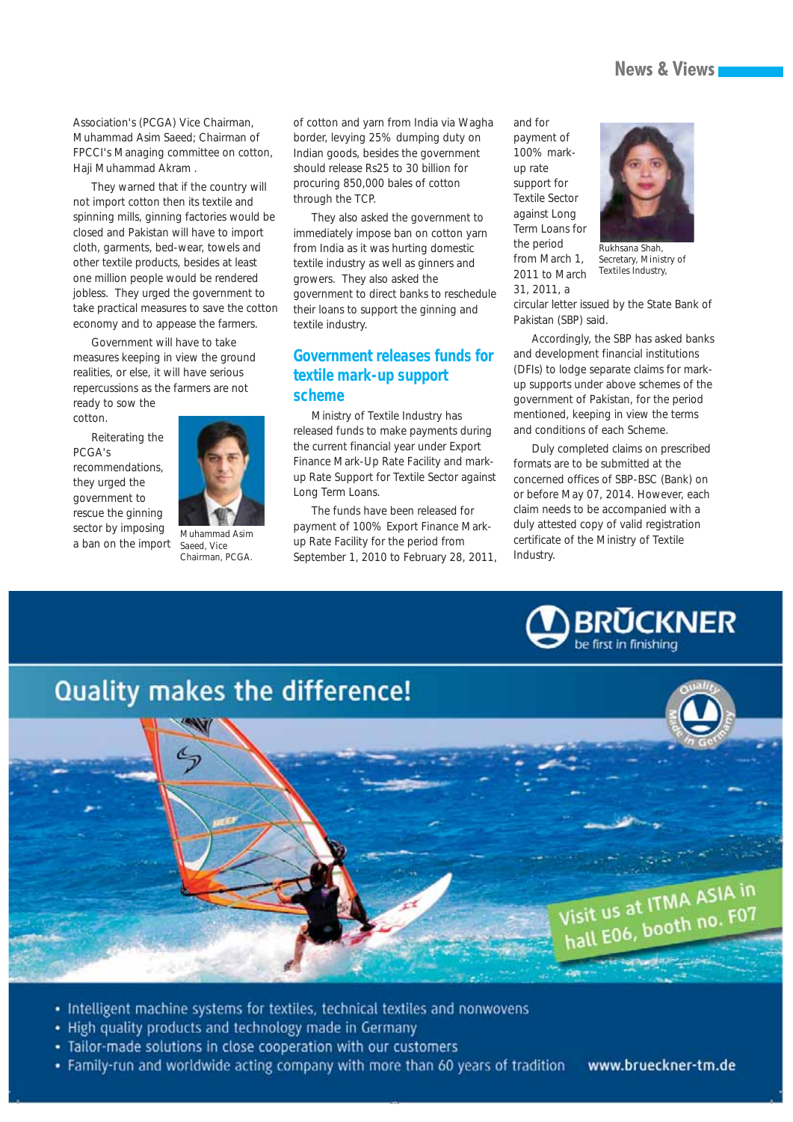#### **News & Views**

Association's (PCGA) Vice Chairman, Muhammad Asim Saeed; Chairman of FPCCI's Managing committee on cotton, Haji Muhammad Akram .

They warned that if the country will not import cotton then its textile and spinning mills, ginning factories would be closed and Pakistan will have to import cloth, garments, bed-wear, towels and other textile products, besides at least one million people would be rendered jobless. They urged the government to take practical measures to save the cotton economy and to appease the farmers.

Government will have to take measures keeping in view the ground realities, or else, it will have serious repercussions as the farmers are not

ready to sow the cotton.

Reiterating the PCGA's recommendations, they urged the government to rescue the ginning sector by imposing a ban on the import



*Muhammad Asim Saeed, Vice Chairman, PCGA.* 

of cotton and yarn from India via Wagha border, levying 25% dumping duty on Indian goods, besides the government should release Rs25 to 30 billion for procuring 850,000 bales of cotton through the TCP.

They also asked the government to immediately impose ban on cotton yarn from India as it was hurting domestic textile industry as well as ginners and growers. They also asked the government to direct banks to reschedule their loans to support the ginning and textile industry.

#### **Government releases funds for textile mark-up support scheme**

Ministry of Textile Industry has released funds to make payments during the current financial year under Export Finance Mark-Up Rate Facility and markup Rate Support for Textile Sector against Long Term Loans.

The funds have been released for payment of 100% Export Finance Markup Rate Facility for the period from September 1, 2010 to February 28, 2011,

and for payment of 100% markup rate support for Textile Sector against Long Term Loans for the period from March 1, 2011 to March 31, 2011, a



*Rukhsana Shah, Secretary, Ministry of Textiles Industry,*

circular letter issued by the State Bank of Pakistan (SBP) said.

Accordingly, the SBP has asked banks and development financial institutions (DFIs) to lodge separate claims for markup supports under above schemes of the government of Pakistan, for the period mentioned, keeping in view the terms and conditions of each Scheme.

Duly completed claims on prescribed formats are to be submitted at the concerned offices of SBP-BSC (Bank) on or before May 07, 2014. However, each claim needs to be accompanied with a duly attested copy of valid registration certificate of the Ministry of Textile Industry.





- · Intelligent machine systems for textiles, technical textiles and nonwovens
- High quality products and technology made in Germany
- · Tailor-made solutions in close cooperation with our customers
- Family-run and worldwide acting company with more than 60 years of tradition www.brueckner-tm.de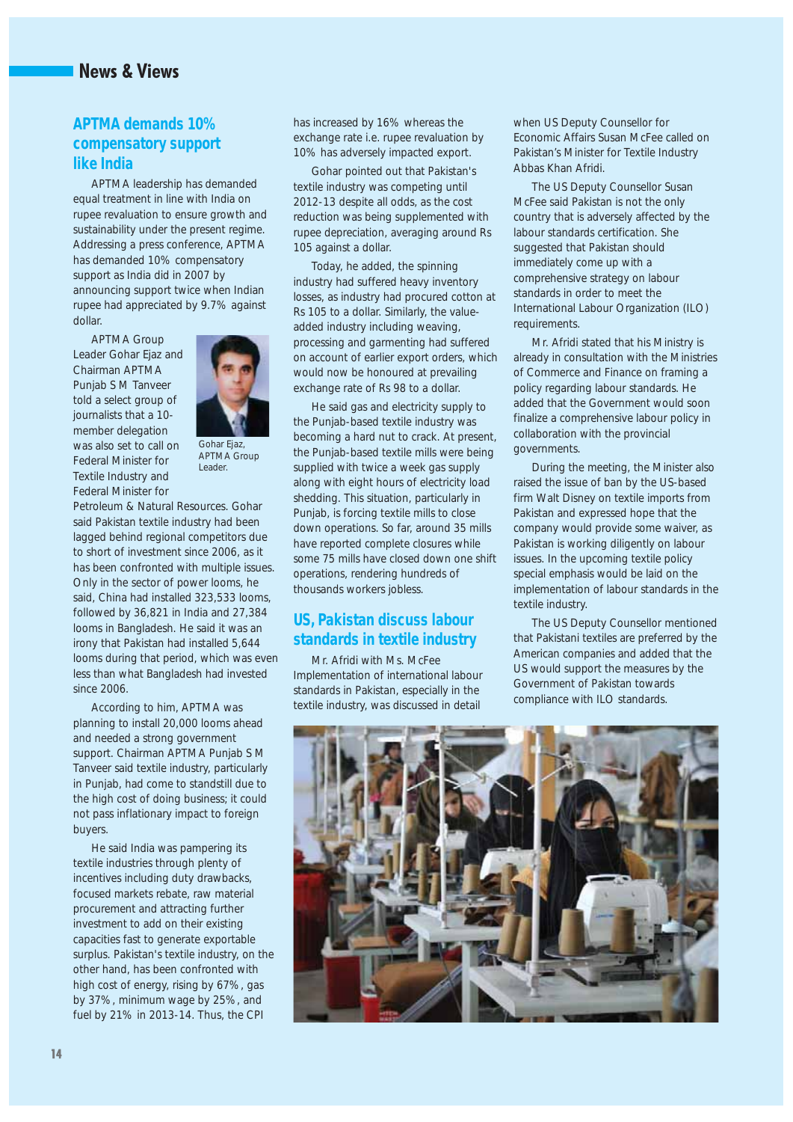## **News & Views**

#### **APTMA demands 10% compensatory support like India**

APTMA leadership has demanded equal treatment in line with India on rupee revaluation to ensure growth and sustainability under the present regime. Addressing a press conference, APTMA has demanded 10% compensatory support as India did in 2007 by announcing support twice when Indian rupee had appreciated by 9.7% against dollar.

APTMA Group Leader Gohar Ejaz and Chairman APTMA Punjab S M Tanveer told a select group of journalists that a 10 member delegation was also set to call on Federal Minister for Textile Industry and Federal Minister for



*Gohar Ejaz, APTMA Group Leader.*

Petroleum & Natural Resources. Gohar said Pakistan textile industry had been lagged behind regional competitors due to short of investment since 2006, as it has been confronted with multiple issues. Only in the sector of power looms, he said, China had installed 323,533 looms, followed by 36,821 in India and 27,384 looms in Bangladesh. He said it was an irony that Pakistan had installed 5,644 looms during that period, which was even less than what Bangladesh had invested since 2006.

According to him, APTMA was planning to install 20,000 looms ahead and needed a strong government support. Chairman APTMA Punjab S M Tanveer said textile industry, particularly in Punjab, had come to standstill due to the high cost of doing business; it could not pass inflationary impact to foreign buyers.

He said India was pampering its textile industries through plenty of incentives including duty drawbacks, focused markets rebate, raw material procurement and attracting further investment to add on their existing capacities fast to generate exportable surplus. Pakistan's textile industry, on the other hand, has been confronted with high cost of energy, rising by 67%, gas by 37%, minimum wage by 25%, and fuel by 21% in 2013-14. Thus, the CPI

has increased by 16% whereas the exchange rate i.e. rupee revaluation by 10% has adversely impacted export.

Gohar pointed out that Pakistan's textile industry was competing until 2012-13 despite all odds, as the cost reduction was being supplemented with rupee depreciation, averaging around Rs 105 against a dollar.

Today, he added, the spinning industry had suffered heavy inventory losses, as industry had procured cotton at Rs 105 to a dollar. Similarly, the valueadded industry including weaving, processing and garmenting had suffered on account of earlier export orders, which would now be honoured at prevailing exchange rate of Rs 98 to a dollar.

He said gas and electricity supply to the Punjab-based textile industry was becoming a hard nut to crack. At present, the Punjab-based textile mills were being supplied with twice a week gas supply along with eight hours of electricity load shedding. This situation, particularly in Punjab, is forcing textile mills to close down operations. So far, around 35 mills have reported complete closures while some 75 mills have closed down one shift operations, rendering hundreds of thousands workers jobless.

#### **US, Pakistan discuss labour standards in textile industry**

Mr. Afridi with Ms. McFee Implementation of international labour standards in Pakistan, especially in the textile industry, was discussed in detail

when US Deputy Counsellor for Economic Affairs Susan McFee called on Pakistan's Minister for Textile Industry Abbas Khan Afridi.

The US Deputy Counsellor Susan McFee said Pakistan is not the only country that is adversely affected by the labour standards certification. She suggested that Pakistan should immediately come up with a comprehensive strategy on labour standards in order to meet the International Labour Organization (ILO) requirements.

Mr. Afridi stated that his Ministry is already in consultation with the Ministries of Commerce and Finance on framing a policy regarding labour standards. He added that the Government would soon finalize a comprehensive labour policy in collaboration with the provincial governments.

During the meeting, the Minister also raised the issue of ban by the US-based firm Walt Disney on textile imports from Pakistan and expressed hope that the company would provide some waiver, as Pakistan is working diligently on labour issues. In the upcoming textile policy special emphasis would be laid on the implementation of labour standards in the textile industry.

The US Deputy Counsellor mentioned that Pakistani textiles are preferred by the American companies and added that the US would support the measures by the Government of Pakistan towards compliance with ILO standards.